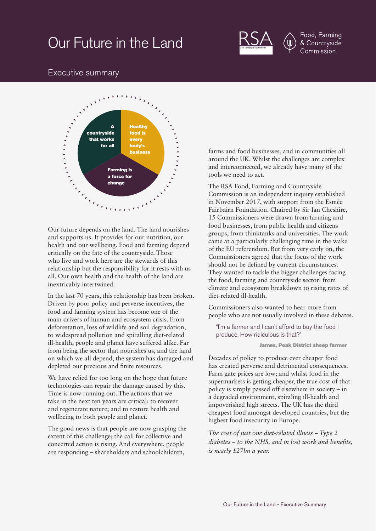# Our Future in the Land



Food, Farming & Countryside Commission

# Executive summary



Our future depends on the land. The land nourishes and supports us. It provides for our nutrition, our health and our wellbeing. Food and farming depend critically on the fate of the countryside. Those who live and work here are the stewards of this relationship but the responsibility for it rests with us all. Our own health and the health of the land are inextricably intertwined.

In the last 70 years, this relationship has been broken. Driven by poor policy and perverse incentives, the food and farming system has become one of the main drivers of human and ecosystem crisis. From deforestation, loss of wildlife and soil degradation, to widespread pollution and spiralling diet-related ill-health, people and planet have suffered alike. Far from being the sector that nourishes us, and the land on which we all depend, the system has damaged and depleted our precious and finite resources.

We have relied for too long on the hope that future technologies can repair the damage caused by this. Time is now running out. The actions that we take in the next ten years are critical: to recover and regenerate nature; and to restore health and wellbeing to both people and planet.

The good news is that people are now grasping the extent of this challenge; the call for collective and concerted action is rising. And everywhere, people are responding – shareholders and schoolchildren,

farms and food businesses, and in communities all around the UK. Whilst the challenges are complex and interconnected, we already have many of the tools we need to act.

The RSA Food, Farming and Countryside Commission is an independent inquiry established in November 2017, with support from the Esmée Fairbairn Foundation. Chaired by Sir Ian Cheshire, 15 Commissioners were drawn from farming and food businesses, from public health and citizens groups, from thinktanks and universities. The work came at a particularly challenging time in the wake of the EU referendum. But from very early on, the Commissioners agreed that the focus of the work should not be defined by current circumstances. They wanted to tackle the bigger challenges facing the food, farming and countryside sector: from climate and ecosystem breakdown to rising rates of diet-related ill-health.

Commissioners also wanted to hear more from people who are not usually involved in these debates.

"I'm a farmer and I can't afford to buy the food I produce. How ridiculous is that?"

James, Peak District sheep farmer

Decades of policy to produce ever cheaper food has created perverse and detrimental consequences. Farm gate prices are low; and whilst food in the supermarkets is getting cheaper, the true cost of that policy is simply passed off elsewhere in society – in a degraded environment, spiraling ill-health and impoverished high streets. The UK has the third cheapest food amongst developed countries, but the highest food insecurity in Europe.

*The cost of just one diet-related illness – Type 2 diabetes – to the NHS, and in lost work and benefits, is nearly £27bn a year.*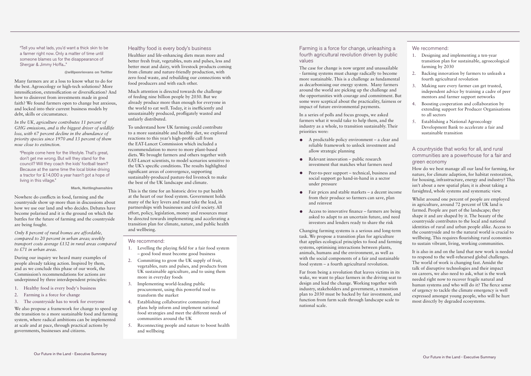"Tell you what lads, you'd want a thick skin to be a farmer right now. Only a matter of time until someone blames us for the disappearance of Shergar & Jimmy Hoffa..."

#### @willpenrievans on Twitter

Many farmers are at a loss to know what to do for the best. Agroecology or high-tech solutions? More intensification, extensification or diversification? And how to disinvest from investments made in good faith? We found farmers open to change but anxious, and locked into their current business models by debt, skills or circumstance.

*In the UK, agriculture contributes 11 percent of GHG emissions, and is the biggest driver of wildlife loss, with 67 percent decline in the abundance of priority species since 1970 and 13 percent of them now close to extinction.* 

"People come here for the lifestyle. That's great, don't get me wrong. But will they stand for the council? Will they coach the kids' football team? Because at the same time the local bloke driving a tractor for £14,000 a year hasn't got a hope of living in this village."

Mark, Nottinghamshire

Nowhere do conflicts in food, farming and the countryside show up more than in discussions about how we use our land and who decides. Debates have become polarised and it is the ground on which the battles for the future of farming and the countryside are being fought.

*Only 8 percent of rural homes are affordable, compared to 20 percent in urban areas; weekly transport costs average £132 in rural areas compared to £71 in urban areas.* 

During our inquiry we heard many examples of people already taking action. Inspired by them, and as we conclude this phase of our work, the Commission's recommendations for actions are underpinned by three interdependent principles:

- 1. Healthy food is every body's business
- 2. Farming is a force for change
- 3. The countryside has to work for everyone

We also propose a framework for change to speed up the transition to a more sustainable food and farming system, where radical ambitions can be implemented at scale and at pace, through practical actions by governments, businesses and citizens.

#### Healthy food is every body's business

Healthier and life-enhancing diets mean more and better fresh fruit, vegetables, nuts and pulses, less and better meat and dairy, with livestock products coming from climate and nature-friendly production, with zero food waste, and rebuilding our connections with food producers and with each other.

Much attention is directed towards the challenge of feeding nine billion people by 2030. But we already produce more than enough for everyone in the world to eat well. Today, it is inefficiently and unsustainably produced, profligately wasted and unfairly distributed.

To understand how UK farming could contribute to a more sustainable and healthy diet, we explored reactions to this year's high-profile call from the EAT-Lancet Commission which included a recommendation to move to more plant-based diets. We brought farmers and others together with EAT-Lancet scientists, to model scenarios sensitive to the UK's specific conditions. The results highlighted significant areas of convergence, supporting sustainably-produced pasture-fed livestock to make the best of the UK landscape and climate.

This is the time for an historic drive to put health at the heart of our food system. Government holds many of the key levers and must take the lead, in partnerships with businesses and civil society. All effort, policy, legislation, money and resources must be directed towards implementing and accelerating a transition plan for climate, nature, and public health and wellbeing.

#### We recommend:

- 1. Levelling the playing field for a fair food system – good food must become good business
- 2. Committing to grow the UK supply of fruit, vegetables, nuts and pulses, and products from UK sustainable agriculture, and to using them more in everyday foods
- 3. Implementing world-leading public procurement, using this powerful tool to transform the market
- 4. Establishing collaborative community food plans help inform and implement national food strategies and meet the different needs of communities around the UK
- 5. Reconnecting people and nature to boost health and wellbeing

Farming is a force for change, unleashing a fourth agricultural revolution driven by public values

The case for change is now urgent and unassailable - farming systems must change radically to become more sustainable. This is a challenge as fundamental as decarbonising our energy system. Many farmers around the world are picking up the challenge and the opportunities with courage and commitment. But some were sceptical about the practicality, fairness or impact of future environmental payments.

In a series of polls and focus groups, we asked farmers what it would take to help them, and the industry as a whole, to transition sustainably. Their priorities were:

- A predictable policy environment a clear and reliable framework to unlock investment and allow strategic planning
- Relevant innovation public research investment that matches what farmers need
- Peer-to-peer support technical, business and social support go hand-in-hand in a sector under pressure
- Fair prices and stable markets a decent income from their produce so farmers can save, plan and reinvest
- Access to innovative finance farmers are being asked to adapt to an uncertain future, and need investors and lenders ready to share the risk

Changing farming systems is a serious and long-term task. We propose a transition plan for agriculture that applies ecological principles to food and farming systems, optimising interactions between plants, animals, humans and the environment, as well as with the social components of a fair and sustainable food system – a fourth agricultural revolution.

Far from being a revolution that leaves victims in its wake, we want to place farmers in the driving seat to design and lead the change. Working together with industry, stakeholders and government, a transition plan to 2030 must be backed by fair investment, and function from farm scale through landscape scale to national scale.

We recommend:

- 1. Designing and implementing a ten-year transition plan for sustainable, agroecological farming by 2030
- 2. Backing innovation by farmers to unleash a fourth agricultural revolution
- 3. Making sure every farmer can get trusted, independent advice by training a cadre of peer mentors and farmer support networks
- 4. Boosting cooperation and collaboration by extending support for Producer Organisations to all sectors
- 5. Establishing a National Agroecology Development Bank to accelerate a fair and sustainable transition

## A countryside that works for all, and rural communities are a powerhouse for a fair and green economy

How do we best manage all our land for farming, for nature, for climate adaption, for habitat restoration, for housing, infrastructure, energy and industry? This isn't about a new spatial plan; it is about taking a farsighted, whole systems and systematic view.

Whilst around one percent of people are employed in agriculture, around 72 percent of UK land is farmed. People are part of the landscape; they shape it and are shaped by it. The beauty of the countryside contributes to the local and national identities of rural and urban people alike. Access to the countryside and to the natural world is crucial to wellbeing. This requires flourishing rural economies to sustain vibrant, living, working communities.

It is also in and on the land that new work is needed to respond to the well-rehearsed global challenges. The world of work is changing fast. Amidst the talk of disruptive technologies and their impact on careers, we also need to ask, what is the work needed right now to recover fragile natural and human systems and who will do it? The fierce sense of urgency to tackle the climate emergency is well expressed amongst young people, who will be hurt most directly by degraded ecosystems.